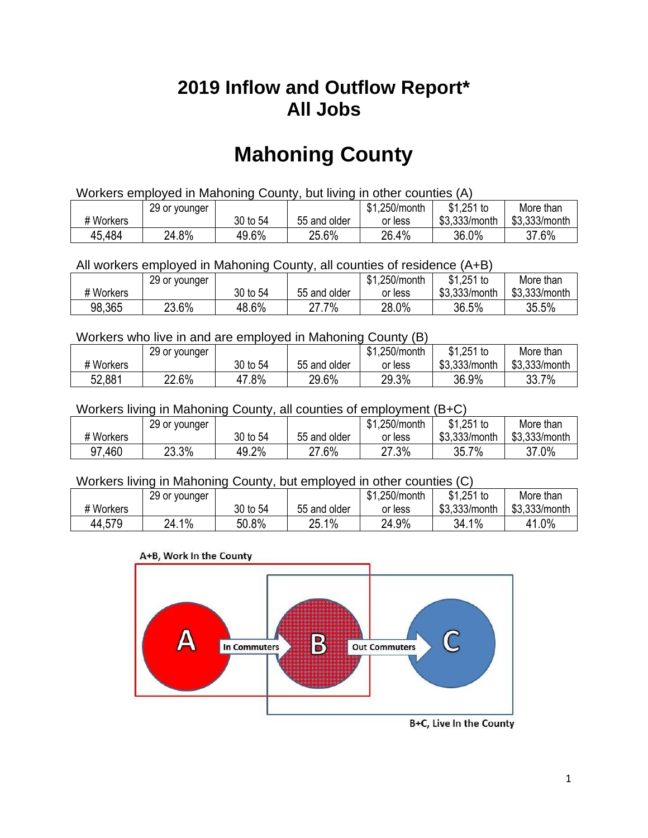## **2019 Inflow and Outflow Report\* All Jobs**

# **Mahoning County**

| Workers employed in Mahoning County, but living in other counties (A) |                                                            |          |              |         |               |               |  |  |  |
|-----------------------------------------------------------------------|------------------------------------------------------------|----------|--------------|---------|---------------|---------------|--|--|--|
|                                                                       | $$1,251$ to<br>\$1,250/month<br>More than<br>29 or younger |          |              |         |               |               |  |  |  |
| # Workers                                                             |                                                            | 30 to 54 | 55 and older | or less | \$3.333/month | \$3,333/month |  |  |  |
| 45,484                                                                | 24.8%                                                      | 49.6%    | 25.6%        | 26.4%   | 36.0%         | 37.6%         |  |  |  |

All workers employed in Mahoning County, all counties of residence (A+B)

|           | 29 or younger |          |              | \$1,250/month | $$1,251$ to   | More than     |
|-----------|---------------|----------|--------------|---------------|---------------|---------------|
| # Workers |               | 30 to 54 | 55 and older | or less       | \$3,333/month | \$3,333/month |
| 98,365    | 23.6%         | 48.6%    | 7.7%∠        | 28.0%         | 36.5%         | 35.5%         |

#### Workers who live in and are employed in Mahoning County (B)

|           | 29 or younger |          |              | \$1,250/month | $$1,251$ to   | More than     |
|-----------|---------------|----------|--------------|---------------|---------------|---------------|
| # Workers |               | 30 to 54 | 55 and older | or less       | \$3,333/month | \$3,333/month |
| 52,881    | 22.6%         | $.8\%$   | 29.6%        | 29.3%         | 36.9%         | 33.7%         |

Workers living in Mahoning County, all counties of employment (B+C)

|           | 29 or younger |          |              | \$1,250/month | \$1,251 to    | More than     |
|-----------|---------------|----------|--------------|---------------|---------------|---------------|
| # Workers |               | 30 to 54 | 55 and older | or less       | \$3,333/month | \$3,333/month |
| 97,460    | 23.3%         | 49.2%    | 27.6%        | 27.3%         | 35.7%         | 37.0%         |

#### Workers living in Mahoning County, but employed in other counties (C)

|           | 29 or younger |          |              | \$1,250/month | \$1,251 to    | More than     |
|-----------|---------------|----------|--------------|---------------|---------------|---------------|
| # Workers |               | 30 to 54 | 55 and older | or less       | \$3,333/month | \$3,333/month |
| 44,579    | $1\%$<br>24.1 | 50.8%    | 25.1%        | 24.9%         | 34.1%         | 41.0%         |

#### A+B, Work In the County



B+C, Live In the County